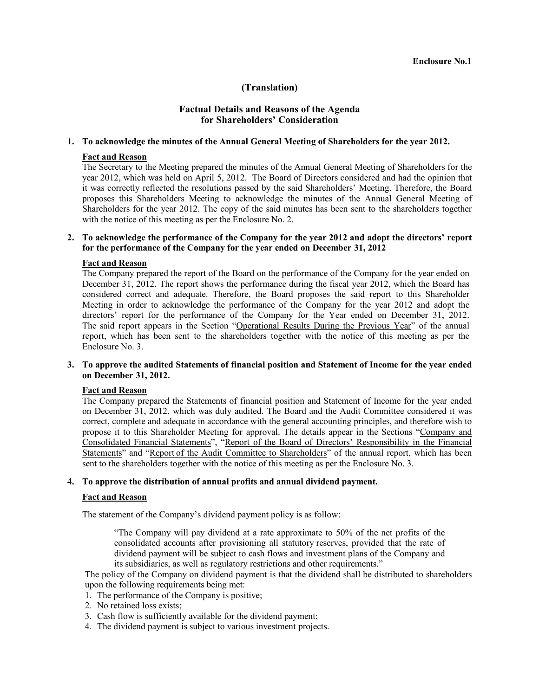# **(Translation)**

# **Factual Details and Reasons of the Agenda for Shareholders' Consideration**

## **1. To acknowledge the minutes of the Annual General Meeting of Shareholders for the year 2012.**

### **Fact and Reason**

The Secretary to the Meeting prepared the minutes of the Annual General Meeting of Shareholders for the year 2012, which was held on April 5, 2012. The Board of Directors considered and had the opinion that it was correctly reflected the resolutions passed by the said Shareholders' Meeting. Therefore, the Board proposes this Shareholders Meeting to acknowledge the minutes of the Annual General Meeting of Shareholders for the year 2012. The copy of the said minutes has been sent to the shareholders together with the notice of this meeting as per the Enclosure No. 2.

## **2. To acknowledge the performance of the Company for the year 2012 and adopt the directors' report for the performance of the Company for the year ended on December 31, 2012**

### **Fact and Reason**

The Company prepared the report of the Board on the performance of the Company for the year ended on December 31, 2012. The report shows the performance during the fiscal year 2012, which the Board has considered correct and adequate. Therefore, the Board proposes the said report to this Shareholder Meeting in order to acknowledge the performance of the Company for the year 2012 and adopt the directors' report for the performance of the Company for the Year ended on December 31, 2012. The said report appears in the Section "Operational Results During the Previous Year" of the annual report, which has been sent to the shareholders together with the notice of this meeting as per the Enclosure No. 3.

## **3. To approve the audited Statements of financial position and Statement of Income for the year ended on December 31, 2012.**

## **Fact and Reason**

 The Company prepared the Statements of financial position and Statement of Income for the year ended on December 31, 2012, which was duly audited. The Board and the Audit Committee considered it was correct, complete and adequate in accordance with the general accounting principles, and therefore wish to propose it to this Shareholder Meeting for approval. The details appear in the Sections "Company and Consolidated Financial Statements", "Report of the Board of Directors' Responsibility in the Financial Statements" and "Report of the Audit Committee to Shareholders" of the annual report, which has been sent to the shareholders together with the notice of this meeting as per the Enclosure No. 3.

### **4. To approve the distribution of annual profits and annual dividend payment.**

#### **Fact and Reason**

The statement of the Company's dividend payment policy is as follow:

"The Company will pay dividend at a rate approximate to 50% of the net profits of the consolidated accounts after provisioning all statutory reserves, provided that the rate of dividend payment will be subject to cash flows and investment plans of the Company and its subsidiaries, as well as regulatory restrictions and other requirements."

The policy of the Company on dividend payment is that the dividend shall be distributed to shareholders upon the following requirements being met:

- 1. The performance of the Company is positive;
- 2. No retained loss exists;
- 3. Cash flow is sufficiently available for the dividend payment;
- 4. The dividend payment is subject to various investment projects.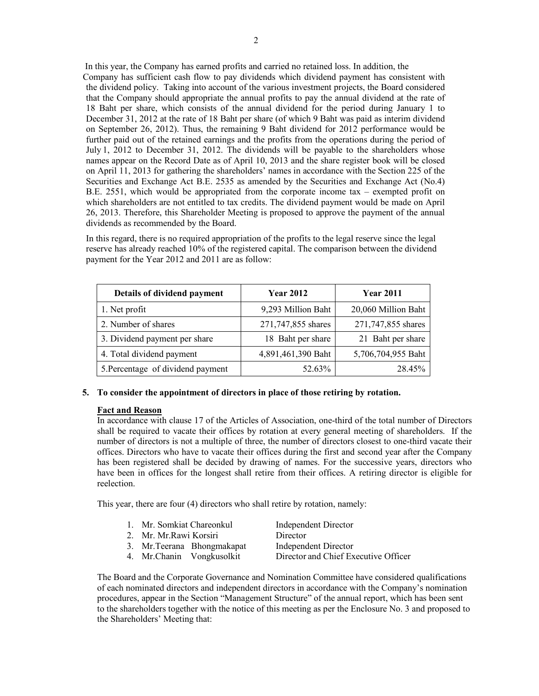In this year, the Company has earned profits and carried no retained loss. In addition, the Company has sufficient cash flow to pay dividends which dividend payment has consistent with the dividend policy. Taking into account of the various investment projects, the Board considered that the Company should appropriate the annual profits to pay the annual dividend at the rate of 18 Baht per share, which consists of the annual dividend for the period during January 1 to December 31, 2012 at the rate of 18 Baht per share (of which 9 Baht was paid as interim dividend on September 26, 2012). Thus, the remaining 9 Baht dividend for 2012 performance would be further paid out of the retained earnings and the profits from the operations during the period of July 1, 2012 to December 31, 2012. The dividends will be payable to the shareholders whose names appear on the Record Date as of April 10, 2013 and the share register book will be closed on April 11, 2013 for gathering the shareholders' names in accordance with the Section 225 of the Securities and Exchange Act B.E. 2535 as amended by the Securities and Exchange Act (No.4) B.E. 2551, which would be appropriated from the corporate income tax – exempted profit on which shareholders are not entitled to tax credits. The dividend payment would be made on April 26, 2013. Therefore, this Shareholder Meeting is proposed to approve the payment of the annual dividends as recommended by the Board.

In this regard, there is no required appropriation of the profits to the legal reserve since the legal reserve has already reached 10% of the registered capital. The comparison between the dividend payment for the Year 2012 and 2011 are as follow:

| Details of dividend payment       | <b>Year 2012</b>   | <b>Year 2011</b>    |
|-----------------------------------|--------------------|---------------------|
| 1. Net profit                     | 9,293 Million Baht | 20,060 Million Baht |
| 2. Number of shares               | 271,747,855 shares | 271,747,855 shares  |
| 3. Dividend payment per share     | 18 Baht per share  | 21 Baht per share   |
| 4. Total dividend payment         | 4,891,461,390 Baht | 5,706,704,955 Baht  |
| 5. Percentage of dividend payment | 52.63%             | 28.45%              |

# **5. To consider the appointment of directors in place of those retiring by rotation.**

#### **Fact and Reason**

In accordance with clause 17 of the Articles of Association, one-third of the total number of Directors shall be required to vacate their offices by rotation at every general meeting of shareholders. If the number of directors is not a multiple of three, the number of directors closest to one-third vacate their offices. Directors who have to vacate their offices during the first and second year after the Company has been registered shall be decided by drawing of names. For the successive years, directors who have been in offices for the longest shall retire from their offices. A retiring director is eligible for reelection.

This year, there are four (4) directors who shall retire by rotation, namely:

| 1. Mr. Somkiat Chareonkul |                             | Independent Director                 |  |
|---------------------------|-----------------------------|--------------------------------------|--|
| 2. Mr. Mr. Rawi Korsiri   |                             | Director                             |  |
|                           | 3. Mr. Teerana Bhongmakapat | <b>Independent Director</b>          |  |
|                           | 4. Mr. Chanin Vongkusolkit  | Director and Chief Executive Officer |  |

 The Board and the Corporate Governance and Nomination Committee have considered qualifications of each nominated directors and independent directors in accordance with the Company's nomination procedures, appear in the Section "Management Structure" of the annual report, which has been sent to the shareholders together with the notice of this meeting as per the Enclosure No. 3 and proposed to the Shareholders' Meeting that: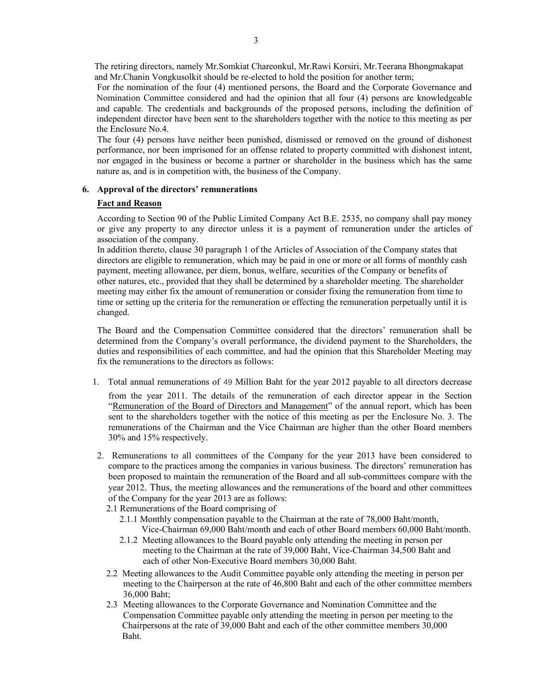The retiring directors, namely Mr.Somkiat Chareonkul, Mr.Rawi Korsiri, Mr.Teerana Bhongmakapat and Mr.Chanin Vongkusolkit should be re-elected to hold the position for another term;

For the nomination of the four (4) mentioned persons, the Board and the Corporate Governance and Nomination Committee considered and had the opinion that all four (4) persons are knowledgeable and capable. The credentials and backgrounds of the proposed persons, including the definition of independent director have been sent to the shareholders together with the notice to this meeting as per the Enclosure No.4.

 The four (4) persons have neither been punished, dismissed or removed on the ground of dishonest performance, nor been imprisoned for an offense related to property committed with dishonest intent, nor engaged in the business or become a partner or shareholder in the business which has the same nature as, and is in competition with, the business of the Company.

## **6. Approval of the directors' remunerations**

# **Fact and Reason**

According to Section 90 of the Public Limited Company Act B.E. 2535, no company shall pay money or give any property to any director unless it is a payment of remuneration under the articles of association of the company.

 In addition thereto, clause 30 paragraph 1 of the Articles of Association of the Company states that directors are eligible to remuneration, which may be paid in one or more or all forms of monthly cash payment, meeting allowance, per diem, bonus, welfare, securities of the Company or benefits of other natures, etc., provided that they shall be determined by a shareholder meeting. The shareholder meeting may either fix the amount of remuneration or consider fixing the remuneration from time to time or setting up the criteria for the remuneration or effecting the remuneration perpetually until it is changed.

The Board and the Compensation Committee considered that the directors' remuneration shall be determined from the Company's overall performance, the dividend payment to the Shareholders, the duties and responsibilities of each committee, and had the opinion that this Shareholder Meeting may fix the remunerations to the directors as follows:

1. Total annual remunerations of 49 Million Baht for the year 2012 payable to all directors decrease

from the year 2011. The details of the remuneration of each director appear in the Section "Remuneration of the Board of Directors and Management" of the annual report, which has been sent to the shareholders together with the notice of this meeting as per the Enclosure No. 3. The remunerations of the Chairman and the Vice Chairman are higher than the other Board members 30% and 15% respectively.

2. Remunerations to all committees of the Company for the year 2013 have been considered to compare to the practices among the companies in various business. The directors' remuneration has been proposed to maintain the remuneration of the Board and all sub-committees compare with the year 2012. Thus, the meeting allowances and the remunerations of the board and other committees of the Company for the year 2013 are as follows:

2.1 Remunerations of the Board comprising of

- 2.1.1 Monthly compensation payable to the Chairman at the rate of 78,000 Baht/month, Vice-Chairman 69,000 Baht/month and each of other Board members 60,000 Baht/month.
- 2.1.2 Meeting allowances to the Board payable only attending the meeting in person per meeting to the Chairman at the rate of 39,000 Baht, Vice-Chairman 34,500 Baht and each of other Non-Executive Board members 30,000 Baht.
- 2.2 Meeting allowances to the Audit Committee payable only attending the meeting in person per meeting to the Chairperson at the rate of 46,800 Baht and each of the other committee members 36,000 Baht;
- 2.3 Meeting allowances to the Corporate Governance and Nomination Committee and the Compensation Committee payable only attending the meeting in person per meeting to the Chairpersons at the rate of 39,000 Baht and each of the other committee members 30,000 Baht.